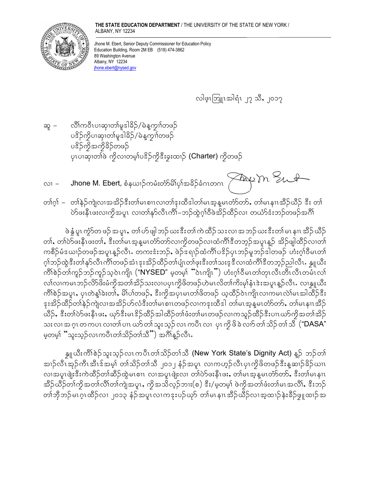## THE STATE EDUCATION DEPARTMENT / THE UNIVERSITY OF THE STATE OF NEW YORK / ALBANY, NY 12234



Jhone M. Ebert, Senior Deputy Commissioner for Education Policy Education Building, Room 2M EB (518) 474-3862 89 Washington Avenue Albany, NY 12234 jhone.ebert@nysed.gov

လါဖူးဘြူးအါရံၤ ၂၇ သိ, ၂၀၁၇

- လိၤ်ကဝီၤပၢဆု၊တၢ်မှုဒါခိဉ်/မဲနုက္ဥ္သျတဖဉ် ဆူ – ပဒိဉ်ကွိပၢဆု၊တ၊မူဒါနိဉ်/မဲနဲ့ကွၢ်တဖဉ် ပဒိဉ်ကိုအကိုခိဉ်တဖဉ် ပုံ၊ပၢဆုံးတစ်ဖဲ့ ကိုလၤတမ္န္ပါပဒိဉ်ကိုဒီးခူးထၤဉ် (Charter) ကိုတဖဉ်
- Jhone M. Ebert, စံနယၢဉ်ကမံးတံ $S$ မ််္ဂပုဒ်အခိဉ်ခံဂၤတဂၤ  $\left\{\begin{matrix} \mathcal{A} & \mathcal{A} \ \mathcal{A} & \mathcal{A} \end{matrix}\right\}$  $\sim$  1
- တၢ်ဂ္န၊် တၢိနဲဉ်ကျဲလၢအအိဉ်ဒီးတ၊်မၤစၢၤလ၊တ၊်ဒုးထိဒါတ၊်မၤအ္ဒန္ဓမၤတံာ်တာ်, တ၊်မၤနၢၤအိဉ်ယိဉ် ဒီး တ၊် ဲ့ ပဲ့ ပါးနီးပူးလျကိုအပူး လျတ္ပ်န္နာလီးကို-ဘဉ်ထွဲဂ္ပါဝီဖွဲ့အိဉ်ထိဉ်လျှ တယ်ာ်ဒီးဘဉ်တဖဉ်အင်္ဂါ

ဖဲ နွံ့ ပူး ကွဲာ်တ ဖဉ် အ ပူး,တၢဴ ပာ် ဖျါ ဘဉ် ဃး ဒီး တၢဴ ကဲ ထိဉ် သး လၢ အ ဘဉ် ဃး ဒီး တၢဴ မၤ နၢၤ အီဉ် ယီဉ် တၢ်, တၢ်ဲလ်ဖးနီၤဖးတၢ်, ဒီးတၢ်မၤအ့န္နမၤတံာ်တာ်လၢကိုတဖဉ်လၢထံကိၢိဒီတဘုဉ်အပူၤန္ဉာ အိဉ်ဖျါထိဉ်လၢတၢ် ကစီဉ်မံစယၢဉ်တဖဉ်အပူၤန္ဉာလီၤႉ တကးဒံးဘဉ်ႇ ဖဲဉ်ဒရၢဉ်ထံကိၤ်ပဒိဉ်ပုၤဘဉ်မူဘဉ်ဒါတဖဉ် ဟံးဂ့ၢ်ဝီမၤတၤ် ဂ္ဂါဘဉ်ထွဲဒီးတါနုာ်လီၤကိၢိတဖဉ်အံၤဒုးအိဉ်ထိဉ်တါပျံၤတါဖုးဒီးတါသးဒ္ဒဒီလၢထံကိၢိဒီတဘွဉ်ညါလီၤ. နွူယီး ကိ<sup>ု</sup>စဉ်တ၊်ကွဉ်ဘဉ်ကွဉ်သွဝဲၤကျို ("NYSED" မှတမ္<sup>ု</sup>ံဝဲၤကျိုး") ဟုံးဂ္ဂ္ဂါဝီမၤတ္ဂါတုၤလီၤတီၤလီၤတမီၤလ္ဂ္ လျှလျှပောသည်လွှာဖွးမှုလွှဲအလျှဆွဲဉသူလျှပ်ပုံပုံဖွဲ့လွယ်မှုလွှတ်ပြွန်းမှုံးနှုံးအပူးနဉ်လုံး လျနျူယီး ကိၢိစဉ်အပူး, ပုၤတဲန္1်ခးတ၊်, မိ၊်ပါတဖဉ်, ဒီးကိုအပုၤမၤတ၊်ဖိတဖဉ် ယူထိဉ်ဝဲၤကျိၤလၢကမၤလဲ၊်မၤအါထိဉ်ဒီး ုးအိဉ်ထိဉ်တျနဉ်ကျဲလ၊အအိဉ်ဟ်လံဒီးတျ်မၤစၢၤတဖဉ်လ၊ကဒုးထီဒါ တျ်မၤအုန္ဓမၤတႆာတာ်, တျ်မၤနၢၤအီဉ် ယီဉ်, ဒီးတၢ်ဲလ်ဖးနီၤဖး, ယှာ်ဒီးမၤဒိဉ်ထိဉ်အါထိဉ်တၢ်ဖံးတ၊်မၤတဖဉ်လၢကသူဉ်ထိဉ်ဒီးပၢၤယာ်ကိုအတၢ်အိဉ် သး လၢ အ ဂ္ဂၤ တ ကပၤ လၢတၢ် ပၢၤ ဃာ် တၢ် သူး သူဉ် လၤ ကပိၤ လၢ ပုၤ ကို ဖိ ခဲ လၢာ် တၢ် သိဉ် တၢ် သိ ("DASA" မှတမှ<sup>6</sup> "သူးသွဉ်လၤကပိၤတၢ်သိဉ်တၢ်သိ") အင်္ဂါန္ဉာလီၤ.

န္ဒူယီးကိ်္ဂ်စ္စဉ်သူးသွဉ်လၤကပီၤတၤ်သိဉ်တၤ်သီ (New York State's Dignity Act) န္5 ဘဉ်တၤ် အၢဉ်လီၤအုဉ်ကီၤအီၤဒ်အမှါ် တါသိဉ်တါသီ ၂၀၁၂ နံဉ်အပူၤ လၢကဟုဉ်လီၤပုၤကွိဖိတဖဉ်ဒီးနူဆၢဉ်ခိဉ်ဃၢၤ လ၊အပူးဖျီးဒီးကဲထိဉ်တ၊်ဆိဉ်ထွဲမၤစၢၤ လ၊အပူးဖျံးလ၊ တ၊်ပဲဉ်ဖးနိုးဖး, တ၊်မၤအ္ဒန္ မၤတႆာတာ်, ဒီးတ၊်မၤနၢၤ အီဉ်ယီဉ်တၢ်ကိုအတၢ်လိၢ်တ၊်ကျဲအပူၤႇ ကိုအသိလူဉ်ဘၢး(စ) ဒီး/မှုတမှ့ၢ် ဖဲကိုအတၢ်ဖံးတ၊်မၤအလိၢ်ႇ ဒီးဘဉ် တ်တိုဘဉ်မၤဂ္ဂၤထိဉ်လၢ ၂၀၁၃ နံဉ်အပူၤလၢကဒုးပဉ်ယှာ် တၢ်မၤနျၤအိဉ်ယိြာလၢအ့ထၢဉ်နဲးခိဉ်ဖွူထျာ်အ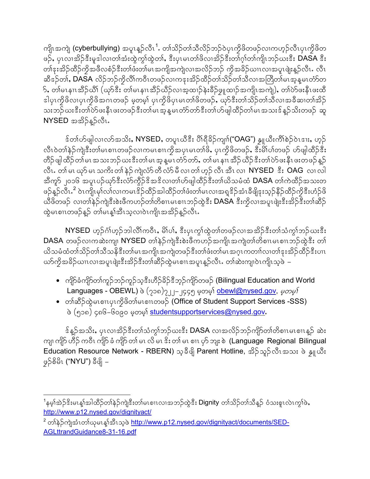ကျိၤအကျဲ (cyberbullying) အပူးနူဉ်လီၤ<sup>1</sup>. တၢ်သိဉ်တၢ်သီလိဉ်ဘဉ်ဝဲပုၤကိုဖိတဖဉ်လၢကဟ့ဉ်လီၤပုၤကိုဖိတ ဖဉ်, ပုၤလၢအိဉ်ဒီးမှုဒါလ၊တါအံးထွဲကွါထွဲတါ, ဒီးပုၤမၤတါဖိလ၊အိဉ်ဒီးတါဂူါတါကျိၤဘဉ်ဃးဒီး DASA ဒီး တၢဴနးအိဉ်ထိဉ်ကိုအဖိလစံဉ်ဒီးတ၊်ဖံးတ၊်မၤအကျိအကျဲလၢအလိဉ်ဘဉ် ကိုအခိဉ်ယၢၤလၢအပူၤဖျံးနှဉ်လီၤႉ လီၤ ဆီဒဉ်တ**i, DASA** လိဉ်ဘဉ်ကိုလိ<sup>ု</sup>ကဝီၤတဖဉ်လၢကနးအိဉ်ထိဉ်တၢ်သိဉ်တၤ်သီလၢအတြိတၤ်မၤအွန္**မၤတံာ်**တ  $\overline{\phantom{a}}$ ် တါမၤနၢၤအီဉ်ယိ $\overline{\phantom{a}}$ (ယှာ်ဒီး တါမၤနၢၤအီဉ်ယီဉ်လၢအ့ထၢဉ်နဲးခ်ီဉ်ဖှူထၢဉ်အကျိုၤအကျဲ့), တါပဲာ်ဖးနီၤဖးထိ ဒါပုၤကိုဖိလ၊ပုၤကိုဖိအဂၤတဖဉ် မ့တမ့္် ပုၤကိုဖိပုၤမၤတၢ်ဖိတဖဉ်ႇ ယှာ်ဒီးတၢ်သိဉ်တၢ်သိလၢအခ်ီဆၢတၢ်အိဉ် သးဘဉ်ယးဒီးတၢ်ပဲာ်ဖးနိုၤဖးတဖဉ်ဒီးတ၊်မၤအ္ဒန္ဓမၤတံာ်တာ်ဒီးတၢ်ပာ်ဖျါထိဉ်တ၊်မၤအသးဒ်န္ဉာ်သိးတဖဉ် ဆူ NYSED အအိ>်နဉ်လီး.

န်တ၊်ဟ်ဖျါလ၊လာ်အသိး, NYSED, တပူးယီနီး ပိုးရှိခဲ့ဉ်ကျ။်("OAG") နှူယီးကိၢိစဲဉ်ဝဲၤဒၢး, ဟ့ဉ် လီၤဝဲတၢ်နဲ့ဉ်ကျဲဒီးတ၊်မၤစၢၤတဖဉ်လၢကမၤစၢၤကိုအပုၤမၤတၢ်ဖိႇ ပုၤကိုဖိတဖဉ်ႇ ဒီးမိၤ်ပၢ်တဖဉ် ဟ်ဖျါထီဉ်ဒီး တိဉ်ဖျါထိဉ်တ၊်မၤအသးဘဉ်ယးဒီးတ၊်မၤအ္ဒန္ဓမၤတံဉ်တာ်, တ၊်မၤနၢၤအိဉ်ယီဉ်ဒီးတ၊်ပဲဉ်ဖးနီၤဖးတဖဉ်နှဉ် လီၤႉ တၢ် မၤ ယှာ် မၤ သကိႏ တၢ် နဲဉ် ကျဲလံာ် တီ လံာ် မီ လၢ တၢ် ဟုဉ် လီၤ အီၤ လၢ NYSED ႏိုး OAG လၢ လါ အီကူာ် ၂၀၁၆ အပူၤပဉ်ယှာ်ဒီးလံာ်ကွီဉ်ဒိအဒိလ၊တၢ်ဟ်ဖျါထိဉ်ဒီးတ၊်ယိသမံထံ DASA တ၊်ကဲထိဉ်အသးတ ဖဉ်န္ဉ်ာလီၤႉ<sup>2</sup> ဝဲၤကျိၤမှၢ်လၢလ၊ကမၤဒိဉ်ထိဉ်အါထိဉ်တၢ်ဖံးတ၊်မၤလၢအရ္ဒဒိဉ်အံၤခီဖျိဒုးသှဉ်နိဉ်ထိဉ်ကိုဒီးဟံဉ်ဖိ ယီဖိတဖဉ် လၢတၢ်နဲ့ဉ်ကျဲဒီးစဲးဖီကဟဉ်တၢ်တိစၢၤမၤစၢၤဘဉ်ထွဲဒီး DASA ဒီးကိုလၢအပူၤဖျံးဒီးအိဉ်ဒီးတၢ်ဆိဉ် ထွဲမၤစၢၤတဖဉ်န္ဉာ တၢဴမၤန္၊်အီၤသ္လာၤ၀ဲၤကျိၤအအိဉ်န္ဉာလီၤ.

NYSED ဟူဉ်င်္ဂါဟူဉ်ဘါလိါကဝီၤ, မိါပါ, ဒီးပုၤက္ဂါထွဲတါတဖဉ်လၢအအိဉ်ဒီးတါသံကျွဲဘဉ်ယးဒီး DASA တဖဉ်လၢကဆဲးကျ၊ NYSED တါနဲ့ဉ်ကျဲဒီးစဲးဖိကဟဉ်အကျိၤအကျဲတ၊်တိစၢၤမၤစၢၤဘဉ်ထွဲဒီး တ၊် ယိသမံထံတၢ်သိဉ်တၢ်သိသနိုဒီးတၢ်မၤအကျိၤအကျဲတဖဉ်ဒီးတၢ်ဖံးတ၊်မၤအဂ္ $\rm{n}$ ကတၢၢ်လၢတၢ်ဒုးအိဉ်ထိဉ်ဒီးပ $\rm{n}$ ယာ်ကိုအခိဉ်ယၢၤလၢအပူၤဖျဲးဒီးအိဉ်ဒီးတၢ်ဆိဉ်ထွဲမၤစၢၤအပူၤန္ဉာလီၤႉ တၢ်ဆဲးကျုဝဲၤကျိၤသွဖဲ –

- ကျိ $\mathfrak f$ ခံကျိ $\mathfrak f$ တ $\mathfrak f$ ကူ $\mathfrak f$ ညာအီးဟိ $\mathfrak f$ နိ $\mathfrak f$ တီတ $\mathfrak f$ ကျိ $\mathfrak f$ တဖ $\mathfrak f$  (Bilingual Education and World Languages - OBEWL) ဖဲ (၇၁၈)၇၂၂–၂၄၄၅ မဲ့တမ္နာ obewl@nysed.gov, *မဲ့တမ္န*
- တၢ်ဆိ်ဉ်ထွဲမၤစၢၤပုၤကွိဖိတၢ်မၤစၢၤတဖဉ် (Office of Student Support Services -SSS) ဖဲ (၅၁၈) ၄၈၆–၆၀၉၀ မှတမှာ studentsupportservices@nysed.gov.

န်န္βအသိး, ပုၤလၢအိβ်ဒီးတၢ်သံကွၢ်ဘβ်ယးဒီး DASA လၢအလိβဘβ်ကျိ6တ၊်တိစၢၤမၤစၢၤန္β ဆဲး ကျ၊ ကျိ5် ဟိဉ် ကဝိၤ ကျိ5် ခံ ကျိ5် တၢ် မၤ လိ မၤ ဒိး တၢ် မၤ စၢၤ ပု၁် ဘျး စဲ (Language Regional Bilingual Education Resource Network - RBERN) သ့ခ်ိဖျိ Parent Hotline, အိဉ်သူဉ်လီၤအသး ဖဲ နှူယီး ဖှဉ်စိမိၤ ("NYU") ခီဖျိ –

<span id="page-1-0"></span><sup>&</sup>lt;sup>1</sup>နမ္န္ကုံအဲ့ဉ်ဒိုးမၤန္နုံအါထိဉ်တျနဉ်ကျဲဒီးတ္ပါမၤစၢၤလၢအဘဉ်ထဲ့ဒီး Dignity တျသိဉ်တျသိန္၌ ဝံသးစူၤလဲၤက္စ္ပါဖဲႇ http://www.p12.nysed.gov/dignityact/

<span id="page-1-1"></span><sup>&</sup>lt;sup>2</sup> တါနဲဉ်ကျဲအံၤတါယုမၤန္၊်အီၤသ့ဖဲ <u>http://www.p12.nysed.gov/dignityact/documents/SED-</u> AGLttrandGuidance8-31-16.pdf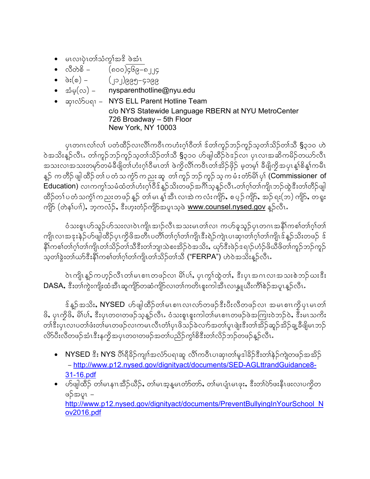- မၤလၢပုံၤတၢ်သံကွၢ်အဒိ ဖဲအံၤ
- $\bullet$  လီတဲစိ  $($ ၈၀၀)၄၆၉–၈၂၂၄
- 
- $\vec{\mathfrak{so}}(\infty)$  nysparenthotline@nyu.edu
- ဆု၊လံာ်ပရၢ NYS ELL Parent Hotline Team c/o NYS Statewide Language RBERN at NYU MetroCenter 726 Broadway - 5th Floor New York, NY 10003

ပုၤတဂၤလၢ်လၢ် ပတံထိဉ်လၢလိၢ်ကဝိၤကဟံးဂ္<sup>ု</sup>ဝိတၢ် ဒ်တၢ်ကူဉ်ဘဉ်ကူဉ်သ့တၢ်သိဉ်တၢ်သိ §၃၁၀ ဟဲ ဝဲအသိးနဲ့ဉ်လီၤႉ တၢ်ကူဉ်ဘဉ်ကူဉ်သ့တၢ်သိဉ်တၢ်သီ **§**၃၁၀ ဟ်ဖျါထိဉ်ဝဲဒဉ်လၢ ပှၤလၢအဆိကမိဉ်တယာ်လီၤ အသးလၢအသးတမှာ်တမံခ်ီဖိျတ်ဟုံးဂုၤ်ဝိမၤတၤ် ဖဲက္ကိလီၤ်ကဝိၤတၤ်အိဉ်ဖိုဉ် မဲ့တမ္၊ ခ်ီဖိျကိုအပှၤန္၊ါစိန္၊်ကမီၤ နူဉ် က တိဉ် ဖျါ ထိဉ် တၢ် ပ တံ သ ကွဲ၁် က ညး ဆူ တၢ် ကူဉ် ဘဉ် ကူဉ် သူ က မံ း တံာ်မိ၊် ပု၊် (Commissioner of Education) လၢကက္ဂါသမံထံတါဟံးဂ္ဒါဝိန်န္ဥသိးတဖဉ်အဂါသူန္ဥလီၤ.တါဂ္ဒါတါကျိုးဘဉ်ထွဲနီးတါတီဥ်ဖျါ ထိဉ်တ1်ပတံသက္ဂၤ်ကညးတဖဉ်နှဉ် တ၊်မၤန္၊်အီၤလၢအဲကလံးကျိဉ်, စပ္ဉဉ်ကျိဉ်, အဉ်ရး(ဘ) ကျိဉ်, တရူး ကျိ5် (တဲန1်ပၢါ), ဘုကလံဉ်, ဒီးဟူးတံဉ်ကျိာ်အပူၤသ္၀ဲ www.counsel.nysed.gov န္Pလီၤ.

ဝံသးစူၤဟ်သူဉ်ဟ်သးလၢဝဲၤကျိၤအၢဉ်လီၤအသးမၤတၢ်လၢ ကဟ်ခူသူဉ်ပုၤတဂၤအနိ1်ကစၢ်တၢ်ဂ့ၢ်တ၊် ကျိုးလၢအဒုးနဲ့ဉ်ဟ်ဖျါထိဉ်ပုၤကွိဖိအတိၤပတိၢ်တၢ်ဂွၢ်တၢ်ကျိၤဒီးရဲဉ်ကျဲၤပၢဆု၊တၢ်ဂ့ၢ်တၢ်ကျိၤဒ်န္ဉာသိးတဖဉ် ဒ် နိုໂကစါတါဂူါတါကျိုဟါသိဉ်တါသီဒီးတါဘျ၊သဲစးအိဉ်ဝဲအသိး, ယှာ်ဒီးဖဲဉ်ဒရၢဉ်ဟံဉ်ဖိယီဖိတါကူဉ်ဘဉ်ကူဉ် သုတ္)ခုံးတျကား နွံ့ပါတစ္ပါတ္ပါတ္ပါတ္ပါတ္ပါတ္ပါဘူသို့ ("FERPA") ဟဲ့ဝဲအသိုးန္ဥလုံး

ဝဲၤကျိၤန္ဉာ်ကဟူဉ်လီၤတၢ်မၤစၢၤတဖဉ်လၢ မိၢိပၢ်ႇ ပုၤက္ဂၢ်ထွဲတၢ်ႇ ဒီးပုၤအဂၤလၢအသးစဲဘဉ်ဃးဒီး DASA, ဒီးတၫ်ကွဲးကျိုးထံအီၤဆုကျိဉ်တဆံကျိဉ်လ၊တၢ်ကတိၤစူးကါအီၤလၢန္ဘူယီးကိၢိစဉ်အပူၤန္ဉ်လီၤ.

န်န္βအသိး, NYSED ဟ်ဖျါထိဉ်တၢ်မၤစၢၤလၤလာ်တဖဉ်နီးပီးလီတဖဉ်လၢ အမၤစၢၤကွိပုၤမၤတၤ် ဖိ, ပုၤက္ငိဖိ, မိါပါ, ဒီးပုၤတ၀ၢတဖဉ်သူန္ဉာလီၤ. ဝံသးစူၤစူးကါတါမၤစၢၤတဖဉ်ဖဲအကြားဝဲဘဉ်ဝဲ, ဒီးမၤသကိႏ တၢိနီးပုၤလၢပတၢ်ဖံးတ၊်မၤတဖဉ်လၢကမၤလိၤတံ၊်ပုၤဖိသဉ်ခဲလၢာ်အတၢ်ပူၤဖျဲးနီးတၢ်အိဉ်ဆူဉ်အိဉ်ချ့ခီဖျိမၤဘဉ် လိ>်ပီးလီတဖဉ်အံၤဒီးနကိုအပုၤတ၀ၢတဖဉ်အတၢ်ပညိဉ်ကွၢ်စိဒီးတၢ်လိဉ်ဘဉ်တဖဉ်နူဉ်လီၤႉ

- NYSED ဒီး NYS ပိ<sup>ု</sup>ရှိခိဉ်ကျn်အလံာ်ပရာဆူ လိ<sup>ု</sup>ကဝိၤပာဆု၊တာ်မူဒါခိဉ်ဒီးတာ်နဲဉ်ကျဲတဖဉ်အအိဉ် - http://www.p12.nysed.gov/dignityact/documents/SED-AGLttrandGuidance8-31-16.pdf
- ဟ်ဖျါထိဉ် တၢ်မၤနၢၤအိဉ်ယိဉ်, တၢ်မၤအ္ဒန္ဓမၤတံာ်တာ်, တၢ်မၤပျံၤမၤဖုး, ဒီးတၢ်ဲလ်ဖူနီၤဖူးလၢပကိုတ ဖဉ်အပူၤ – http://www.p12.nysed.gov/dignityact/documents/PreventBullyingInYourSchool N ov2016.pdf